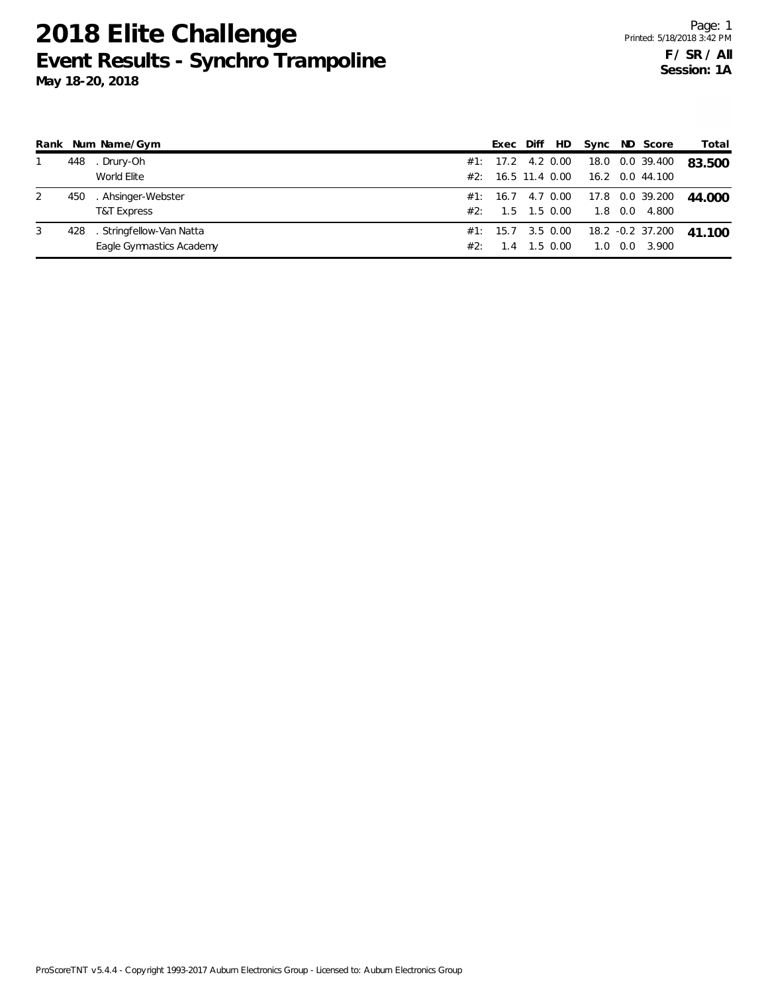## **2018 Elite Challenge Event Results - Synchro Trampoline**

**May 18-20, 2018**

| Rank |     | Num Name/Gym             |     | Exec               | Diff | HD       |     |                | Sync ND Score     | Total  |
|------|-----|--------------------------|-----|--------------------|------|----------|-----|----------------|-------------------|--------|
|      | 448 | . Drury-Oh               |     | #1: 17.2 4.2 0.00  |      |          |     |                | 18.0 0.0 39.400   | 83.500 |
|      |     | World Elite              |     | #2: 16.5 11.4 0.00 |      |          |     |                | 16.2 0.0 44.100   |        |
| 2    | 450 | . Ahsinger-Webster       |     | #1: 16.7 4.7 0.00  |      |          |     |                | 17.8  0.0  39.200 | 44.000 |
|      |     | <b>T&amp;T Express</b>   | #2: | 1.5                |      | 1.5 0.00 |     | $1.8\quad 0.0$ | 4.800             |        |
| 3    | 428 | . Stringfellow-Van Natta |     | #1: 15.7 3.5 0.00  |      |          |     |                | 18.2 -0.2 37.200  | 41.100 |
|      |     | Eagle Gymnastics Academy | #2: | 4                  |      | 1.5 0.00 | 1.0 | 0.0            | 3.900             |        |